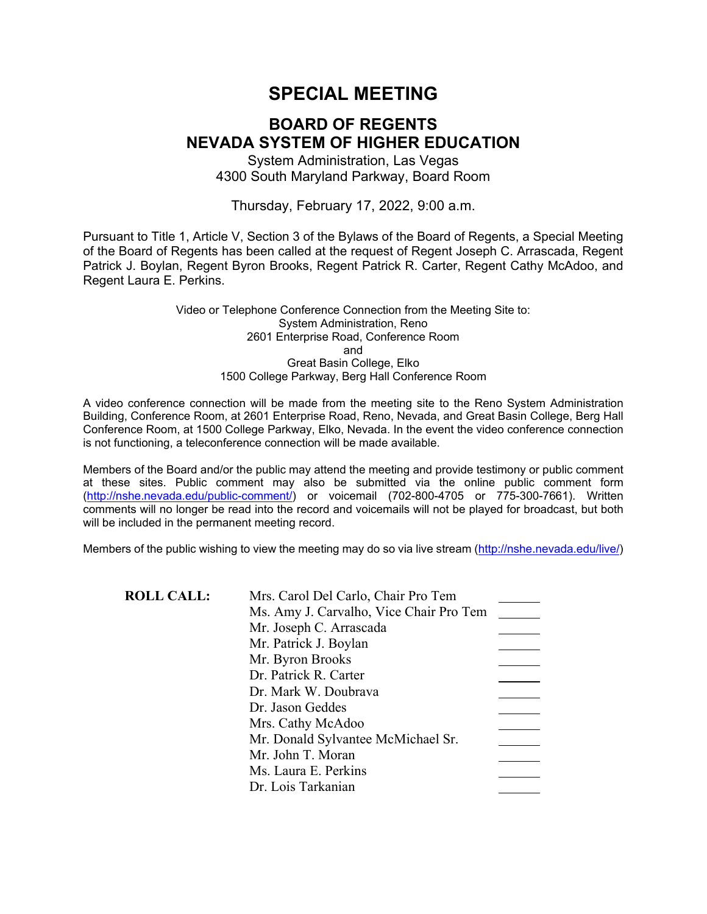# **SPECIAL MEETING**

## **BOARD OF REGENTS NEVADA SYSTEM OF HIGHER EDUCATION**

System Administration, Las Vegas 4300 South Maryland Parkway, Board Room

Thursday, February 17, 2022, 9:00 a.m.

Pursuant to Title 1, Article V, Section 3 of the Bylaws of the Board of Regents, a Special Meeting of the Board of Regents has been called at the request of Regent Joseph C. Arrascada, Regent Patrick J. Boylan, Regent Byron Brooks, Regent Patrick R. Carter, Regent Cathy McAdoo, and Regent Laura E. Perkins.

> Video or Telephone Conference Connection from the Meeting Site to: System Administration, Reno 2601 Enterprise Road, Conference Room and Great Basin College, Elko 1500 College Parkway, Berg Hall Conference Room

A video conference connection will be made from the meeting site to the Reno System Administration Building, Conference Room, at 2601 Enterprise Road, Reno, Nevada, and Great Basin College, Berg Hall Conference Room, at 1500 College Parkway, Elko, Nevada. In the event the video conference connection is not functioning, a teleconference connection will be made available.

Members of the Board and/or the public may attend the meeting and provide testimony or public comment at these sites. Public comment may also be submitted via the online public comment form [\(http://nshe.nevada.edu/public-comment/\)](http://nshe.nevada.edu/public-comment/) or voicemail (702-800-4705 or 775-300-7661). Written comments will no longer be read into the record and voicemails will not be played for broadcast, but both will be included in the permanent meeting record.

Members of the public wishing to view the meeting may do so via live stream [\(http://nshe.nevada.edu/live/\)](http://nshe.nevada.edu/live/)

**ROLL CALL:** Mrs. Carol Del Carlo, Chair Pro Tem

| iviis. Carol Der Carlo, Chair TTO Teni  |  |
|-----------------------------------------|--|
| Ms. Amy J. Carvalho, Vice Chair Pro Tem |  |
| Mr. Joseph C. Arrascada                 |  |
| Mr. Patrick J. Boylan                   |  |
| Mr. Byron Brooks                        |  |
| Dr. Patrick R. Carter                   |  |
| Dr. Mark W. Doubrava                    |  |
| Dr. Jason Geddes                        |  |
| Mrs. Cathy McAdoo                       |  |
| Mr. Donald Sylvantee McMichael Sr.      |  |
| Mr. John T. Moran                       |  |
| Ms. Laura E. Perkins                    |  |
| Dr. Lois Tarkanian                      |  |
|                                         |  |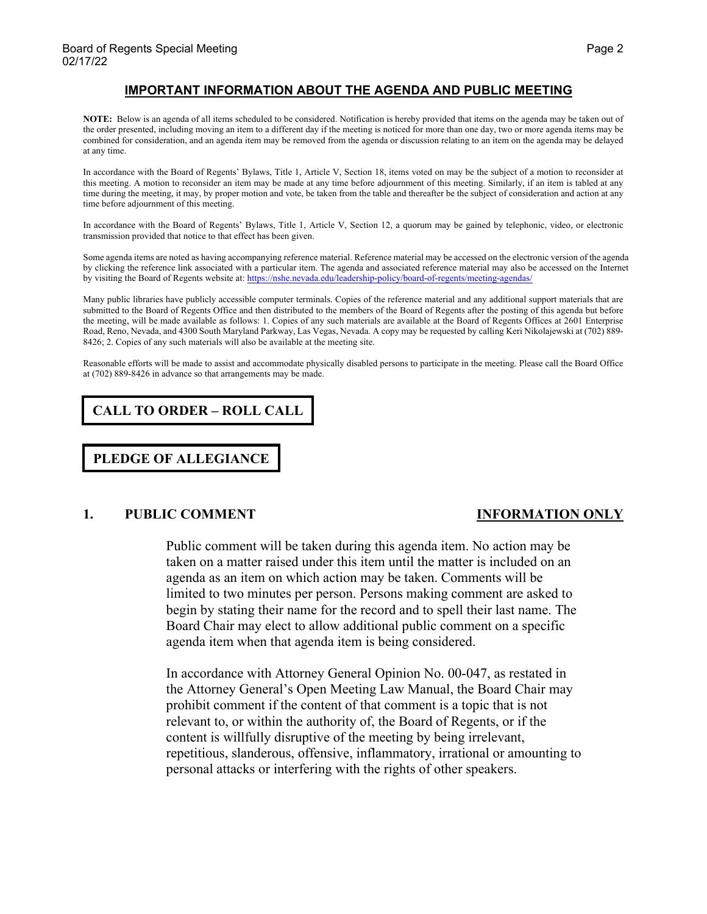### **IMPORTANT INFORMATION ABOUT THE AGENDA AND PUBLIC MEETING**

**NOTE:** Below is an agenda of all items scheduled to be considered. Notification is hereby provided that items on the agenda may be taken out of the order presented, including moving an item to a different day if the meeting is noticed for more than one day, two or more agenda items may be combined for consideration, and an agenda item may be removed from the agenda or discussion relating to an item on the agenda may be delayed at any time.

In accordance with the Board of Regents' Bylaws, Title 1, Article V, Section 18, items voted on may be the subject of a motion to reconsider at this meeting. A motion to reconsider an item may be made at any time before adjournment of this meeting. Similarly, if an item is tabled at any time during the meeting, it may, by proper motion and vote, be taken from the table and thereafter be the subject of consideration and action at any time before adjournment of this meeting.

In accordance with the Board of Regents' Bylaws, Title 1, Article V, Section 12, a quorum may be gained by telephonic, video, or electronic transmission provided that notice to that effect has been given.

Some agenda items are noted as having accompanying reference material. Reference material may be accessed on the electronic version of the agenda by clicking the reference link associated with a particular item. The agenda and associated reference material may also be accessed on the Internet by visiting the Board of Regents website at: <https://nshe.nevada.edu/leadership-policy/board-of-regents/meeting-agendas/>

Many public libraries have publicly accessible computer terminals. Copies of the reference material and any additional support materials that are submitted to the Board of Regents Office and then distributed to the members of the Board of Regents after the posting of this agenda but before the meeting, will be made available as follows: 1. Copies of any such materials are available at the Board of Regents Offices at 2601 Enterprise Road, Reno, Nevada, and 4300 South Maryland Parkway, Las Vegas, Nevada. A copy may be requested by calling Keri Nikolajewski at (702) 889- 8426; 2. Copies of any such materials will also be available at the meeting site.

Reasonable efforts will be made to assist and accommodate physically disabled persons to participate in the meeting. Please call the Board Office at (702) 889-8426 in advance so that arrangements may be made.

**CALL TO ORDER – ROLL CALL**

**PLEDGE OF ALLEGIANCE**

### **1. PUBLIC COMMENT INFORMATION ONLY**

Public comment will be taken during this agenda item. No action may be taken on a matter raised under this item until the matter is included on an agenda as an item on which action may be taken. Comments will be limited to two minutes per person. Persons making comment are asked to begin by stating their name for the record and to spell their last name. The Board Chair may elect to allow additional public comment on a specific agenda item when that agenda item is being considered.

In accordance with Attorney General Opinion No. 00-047, as restated in the Attorney General's Open Meeting Law Manual, the Board Chair may prohibit comment if the content of that comment is a topic that is not relevant to, or within the authority of, the Board of Regents, or if the content is willfully disruptive of the meeting by being irrelevant, repetitious, slanderous, offensive, inflammatory, irrational or amounting to personal attacks or interfering with the rights of other speakers.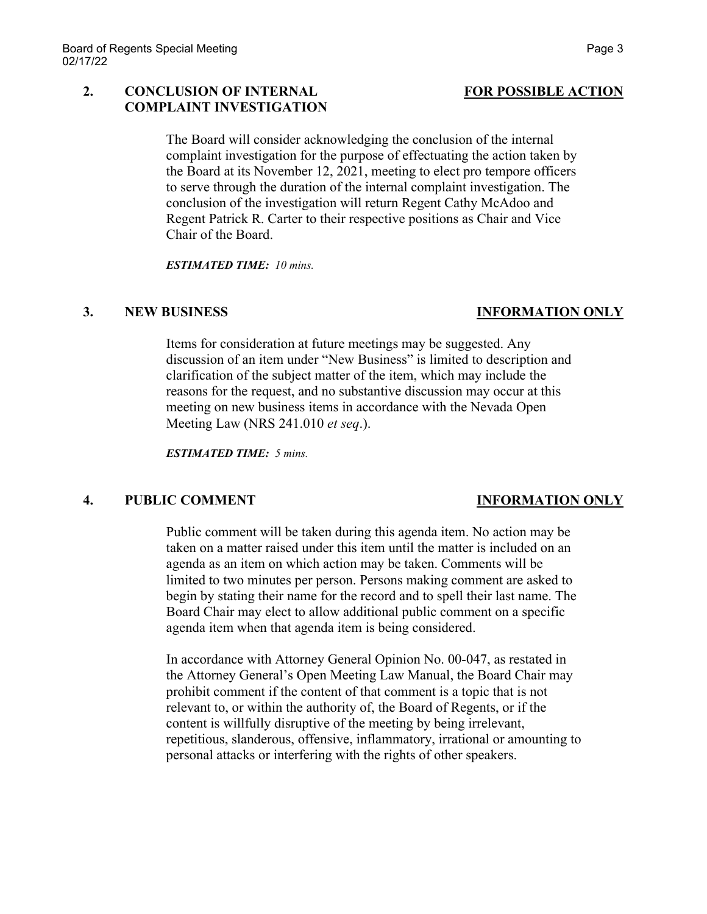### **2. CONCLUSION OF INTERNAL FOR POSSIBLE ACTION COMPLAINT INVESTIGATION**

The Board will consider acknowledging the conclusion of the internal complaint investigation for the purpose of effectuating the action taken by the Board at its November 12, 2021, meeting to elect pro tempore officers to serve through the duration of the internal complaint investigation. The conclusion of the investigation will return Regent Cathy McAdoo and Regent Patrick R. Carter to their respective positions as Chair and Vice Chair of the Board.

*ESTIMATED TIME: 10 mins.*

### **3. NEW BUSINESS INFORMATION ONLY**

Items for consideration at future meetings may be suggested. Any discussion of an item under "New Business" is limited to description and clarification of the subject matter of the item, which may include the reasons for the request, and no substantive discussion may occur at this meeting on new business items in accordance with the Nevada Open Meeting Law (NRS 241.010 *et seq*.).

*ESTIMATED TIME: 5 mins.*

### **4. PUBLIC COMMENT INFORMATION ONLY**

Public comment will be taken during this agenda item. No action may be taken on a matter raised under this item until the matter is included on an agenda as an item on which action may be taken. Comments will be limited to two minutes per person. Persons making comment are asked to begin by stating their name for the record and to spell their last name. The Board Chair may elect to allow additional public comment on a specific agenda item when that agenda item is being considered.

In accordance with Attorney General Opinion No. 00-047, as restated in the Attorney General's Open Meeting Law Manual, the Board Chair may prohibit comment if the content of that comment is a topic that is not relevant to, or within the authority of, the Board of Regents, or if the content is willfully disruptive of the meeting by being irrelevant, repetitious, slanderous, offensive, inflammatory, irrational or amounting to personal attacks or interfering with the rights of other speakers.